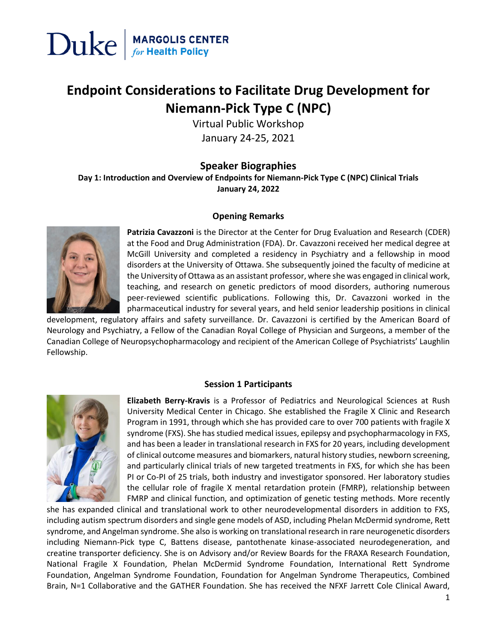

### **Endpoint Considerations to Facilitate Drug Development for Niemann-Pick Type C (NPC)**

Virtual Public Workshop January 24-25, 2021

#### **Speaker Biographies**

**Day 1: Introduction and Overview of Endpoints for Niemann-Pick Type C (NPC) Clinical Trials January 24, 2022**

#### **Opening Remarks**



**Patrizia Cavazzoni** is the Director at the Center for Drug Evaluation and Research (CDER) at the Food and Drug Administration (FDA). Dr. Cavazzoni received her medical degree at McGill University and completed a residency in Psychiatry and a fellowship in mood disorders at the University of Ottawa. She subsequently joined the faculty of medicine at the University of Ottawa as an assistant professor, where she was engaged in clinical work, teaching, and research on genetic predictors of mood disorders, authoring numerous peer-reviewed scientific publications. Following this, Dr. Cavazzoni worked in the pharmaceutical industry for several years, and held senior leadership positions in clinical

development, regulatory affairs and safety surveillance. Dr. Cavazzoni is certified by the American Board of Neurology and Psychiatry, a Fellow of the Canadian Royal College of Physician and Surgeons, a member of the Canadian College of Neuropsychopharmacology and recipient of the American College of Psychiatrists' Laughlin Fellowship.

#### **Session 1 Participants**



**Elizabeth Berry-Kravis** is a Professor of Pediatrics and Neurological Sciences at Rush University Medical Center in Chicago. She established the Fragile X Clinic and Research Program in 1991, through which she has provided care to over 700 patients with fragile X syndrome (FXS). She has studied medical issues, epilepsy and psychopharmacology in FXS, and has been a leader in translational research in FXS for 20 years, including development of clinical outcome measures and biomarkers, natural history studies, newborn screening, and particularly clinical trials of new targeted treatments in FXS, for which she has been PI or Co-PI of 25 trials, both industry and investigator sponsored. Her laboratory studies the cellular role of fragile X mental retardation protein (FMRP), relationship between FMRP and clinical function, and optimization of genetic testing methods. More recently

she has expanded clinical and translational work to other neurodevelopmental disorders in addition to FXS, including autism spectrum disorders and single gene models of ASD, including Phelan McDermid syndrome, Rett syndrome, and Angelman syndrome. She also is working on translational research in rare neurogenetic disorders including Niemann-Pick type C, Battens disease, pantothenate kinase-associated neurodegeneration, and creatine transporter deficiency. She is on Advisory and/or Review Boards for the FRAXA Research Foundation, National Fragile X Foundation, Phelan McDermid Syndrome Foundation, International Rett Syndrome Foundation, Angelman Syndrome Foundation, Foundation for Angelman Syndrome Therapeutics, Combined Brain, N=1 Collaborative and the GATHER Foundation. She has received the NFXF Jarrett Cole Clinical Award,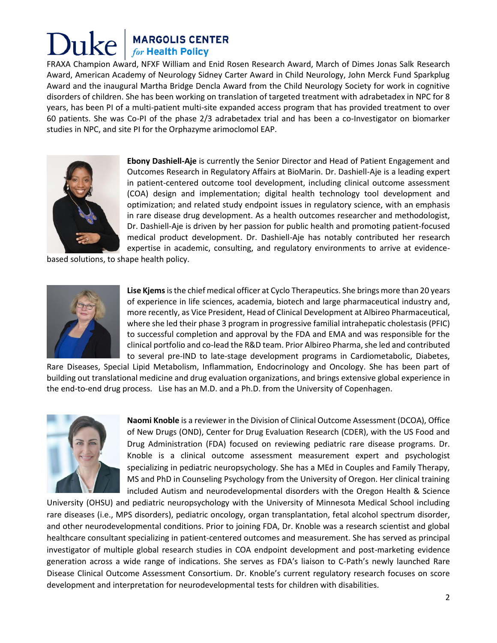FRAXA Champion Award, NFXF William and Enid Rosen Research Award, March of Dimes Jonas Salk Research Award, American Academy of Neurology Sidney Carter Award in Child Neurology, John Merck Fund Sparkplug Award and the inaugural Martha Bridge Dencla Award from the Child Neurology Society for work in cognitive disorders of children. She has been working on translation of targeted treatment with adrabetadex in NPC for 8 years, has been PI of a multi-patient multi-site expanded access program that has provided treatment to over 60 patients. She was Co-PI of the phase 2/3 adrabetadex trial and has been a co-Investigator on biomarker studies in NPC, and site PI for the Orphazyme arimoclomol EAP.



**Ebony Dashiell-Aje** is currently the Senior Director and Head of Patient Engagement and Outcomes Research in Regulatory Affairs at BioMarin. Dr. Dashiell-Aje is a leading expert in patient-centered outcome tool development, including clinical outcome assessment (COA) design and implementation; digital health technology tool development and optimization; and related study endpoint issues in regulatory science, with an emphasis in rare disease drug development. As a health outcomes researcher and methodologist, Dr. Dashiell-Aje is driven by her passion for public health and promoting patient-focused medical product development. Dr. Dashiell-Aje has notably contributed her research expertise in academic, consulting, and regulatory environments to arrive at evidence-

based solutions, to shape health policy.



**Lise Kjems**is the chief medical officer at Cyclo Therapeutics. She brings more than 20 years of experience in life sciences, academia, biotech and large pharmaceutical industry and, more recently, as Vice President, Head of Clinical Development at Albireo Pharmaceutical, where she led their phase 3 program in progressive familial intrahepatic cholestasis (PFIC) to successful completion and approval by the FDA and EMA and was responsible for the clinical portfolio and co-lead the R&D team. Prior Albireo Pharma, she led and contributed to several pre-IND to late-stage development programs in Cardiometabolic, Diabetes,

Rare Diseases, Special Lipid Metabolism, Inflammation, Endocrinology and Oncology. She has been part of building out translational medicine and drug evaluation organizations, and brings extensive global experience in the end-to-end drug process. Lise has an M.D. and a Ph.D. from the University of Copenhagen.



**Naomi Knoble** is a reviewer in the Division of Clinical Outcome Assessment (DCOA), Office of New Drugs (OND), Center for Drug Evaluation Research (CDER), with the US Food and Drug Administration (FDA) focused on reviewing pediatric rare disease programs. Dr. Knoble is a clinical outcome assessment measurement expert and psychologist specializing in pediatric neuropsychology. She has a MEd in Couples and Family Therapy, MS and PhD in Counseling Psychology from the University of Oregon. Her clinical training included Autism and neurodevelopmental disorders with the Oregon Health & Science

University (OHSU) and pediatric neuropsychology with the University of Minnesota Medical School including rare diseases (i.e., MPS disorders), pediatric oncology, organ transplantation, fetal alcohol spectrum disorder, and other neurodevelopmental conditions. Prior to joining FDA, Dr. Knoble was a research scientist and global healthcare consultant specializing in patient-centered outcomes and measurement. She has served as principal investigator of multiple global research studies in COA endpoint development and post-marketing evidence generation across a wide range of indications. She serves as FDA's liaison to C-Path's newly launched Rare Disease Clinical Outcome Assessment Consortium. Dr. Knoble's current regulatory research focuses on score development and interpretation for neurodevelopmental tests for children with disabilities.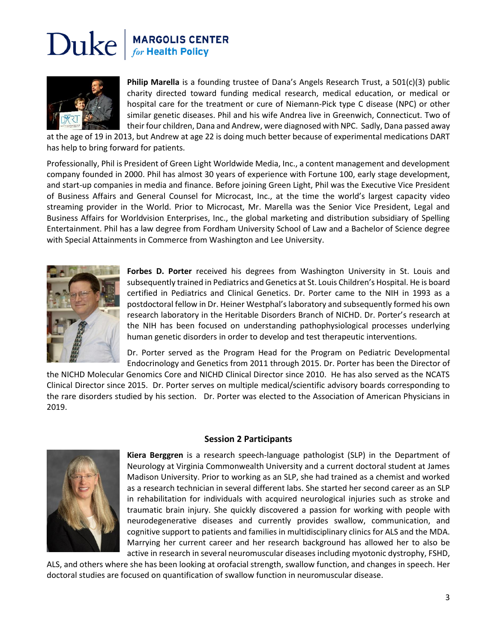

**Philip Marella** is a founding trustee of Dana's Angels Research Trust, a 501(c)(3) public charity directed toward funding medical research, medical education, or medical or hospital care for the treatment or cure of Niemann-Pick type C disease (NPC) or other similar genetic diseases. Phil and his wife Andrea live in Greenwich, Connecticut. Two of their four children, Dana and Andrew, were diagnosed with NPC. Sadly, Dana passed away

at the age of 19 in 2013, but Andrew at age 22 is doing much better because of experimental medications DART has help to bring forward for patients.

Professionally, Phil is President of Green Light Worldwide Media, Inc., a content management and development company founded in 2000. Phil has almost 30 years of experience with Fortune 100, early stage development, and start-up companies in media and finance. Before joining Green Light, Phil was the Executive Vice President of Business Affairs and General Counsel for Microcast, Inc., at the time the world's largest capacity video streaming provider in the World. Prior to Microcast, Mr. Marella was the Senior Vice President, Legal and Business Affairs for Worldvision Enterprises, Inc., the global marketing and distribution subsidiary of Spelling Entertainment. Phil has a law degree from Fordham University School of Law and a Bachelor of Science degree with Special Attainments in Commerce from Washington and Lee University.



**Forbes D. Porter** received his degrees from Washington University in St. Louis and subsequently trained in Pediatrics and Genetics at St. Louis Children's Hospital. He is board certified in Pediatrics and Clinical Genetics. Dr. Porter came to the NIH in 1993 as a postdoctoral fellow in Dr. Heiner Westphal's laboratory and subsequently formed his own research laboratory in the Heritable Disorders Branch of NICHD. Dr. Porter's research at the NIH has been focused on understanding pathophysiological processes underlying human genetic disorders in order to develop and test therapeutic interventions.

Dr. Porter served as the Program Head for the Program on Pediatric Developmental Endocrinology and Genetics from 2011 through 2015. Dr. Porter has been the Director of

the NICHD Molecular Genomics Core and NICHD Clinical Director since 2010. He has also served as the NCATS Clinical Director since 2015. Dr. Porter serves on multiple medical/scientific advisory boards corresponding to the rare disorders studied by his section. Dr. Porter was elected to the Association of American Physicians in 2019.

#### **Session 2 Participants**



**Kiera Berggren** is a research speech-language pathologist (SLP) in the Department of Neurology at Virginia Commonwealth University and a current doctoral student at James Madison University. Prior to working as an SLP, she had trained as a chemist and worked as a research technician in several different labs. She started her second career as an SLP in rehabilitation for individuals with acquired neurological injuries such as stroke and traumatic brain injury. She quickly discovered a passion for working with people with neurodegenerative diseases and currently provides swallow, communication, and cognitive support to patients and families in multidisciplinary clinics for ALS and the MDA. Marrying her current career and her research background has allowed her to also be active in research in several neuromuscular diseases including myotonic dystrophy, FSHD,

ALS, and others where she has been looking at orofacial strength, swallow function, and changes in speech. Her doctoral studies are focused on quantification of swallow function in neuromuscular disease.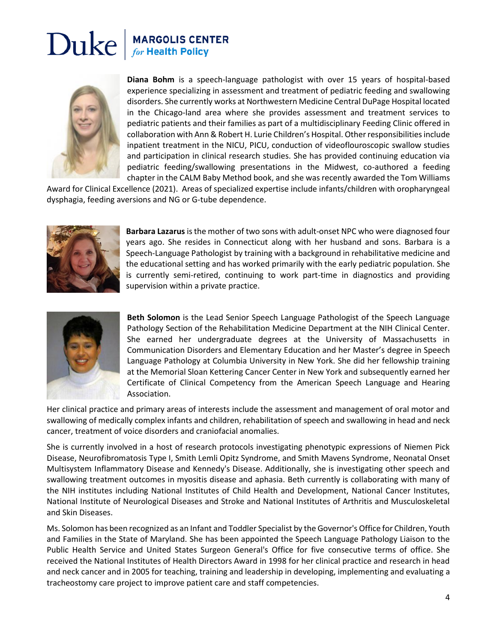

**Diana Bohm** is a speech-language pathologist with over 15 years of hospital-based experience specializing in assessment and treatment of pediatric feeding and swallowing disorders. She currently works at Northwestern Medicine Central DuPage Hospital located in the Chicago-land area where she provides assessment and treatment services to pediatric patients and their families as part of a multidisciplinary Feeding Clinic offered in collaboration with Ann & Robert H. Lurie Children's Hospital. Other responsibilities include inpatient treatment in the NICU, PICU, conduction of videoflouroscopic swallow studies and participation in clinical research studies. She has provided continuing education via pediatric feeding/swallowing presentations in the Midwest, co-authored a feeding chapter in the CALM Baby Method book, and she was recently awarded the Tom Williams

Award for Clinical Excellence (2021). Areas of specialized expertise include infants/children with oropharyngeal dysphagia, feeding aversions and NG or G-tube dependence.



**Barbara Lazarus** isthe mother of two sons with adult-onset NPC who were diagnosed four years ago. She resides in Connecticut along with her husband and sons. Barbara is a Speech-Language Pathologist by training with a background in rehabilitative medicine and the educational setting and has worked primarily with the early pediatric population. She is currently semi-retired, continuing to work part-time in diagnostics and providing supervision within a private practice.



**Beth Solomon** is the Lead Senior Speech Language Pathologist of the Speech Language Pathology Section of the Rehabilitation Medicine Department at the NIH Clinical Center. She earned her undergraduate degrees at the University of Massachusetts in Communication Disorders and Elementary Education and her Master's degree in Speech Language Pathology at Columbia University in New York. She did her fellowship training at the Memorial Sloan Kettering Cancer Center in New York and subsequently earned her Certificate of Clinical Competency from the American Speech Language and Hearing Association.

Her clinical practice and primary areas of interests include the assessment and management of oral motor and swallowing of medically complex infants and children, rehabilitation of speech and swallowing in head and neck cancer, treatment of voice disorders and craniofacial anomalies.

She is currently involved in a host of research protocols investigating phenotypic expressions of Niemen Pick Disease, Neurofibromatosis Type I, Smith Lemli Opitz Syndrome, and Smith Mavens Syndrome, Neonatal Onset Multisystem Inflammatory Disease and Kennedy's Disease. Additionally, she is investigating other speech and swallowing treatment outcomes in myositis disease and aphasia. Beth currently is collaborating with many of the NIH institutes including National Institutes of Child Health and Development, National Cancer Institutes, National Institute of Neurological Diseases and Stroke and National Institutes of Arthritis and Musculoskeletal and Skin Diseases.

Ms. Solomon has been recognized as an Infant and Toddler Specialist by the Governor's Office for Children, Youth and Families in the State of Maryland. She has been appointed the Speech Language Pathology Liaison to the Public Health Service and United States Surgeon General's Office for five consecutive terms of office. She received the National Institutes of Health Directors Award in 1998 for her clinical practice and research in head and neck cancer and in 2005 for teaching, training and leadership in developing, implementing and evaluating a tracheostomy care project to improve patient care and staff competencies.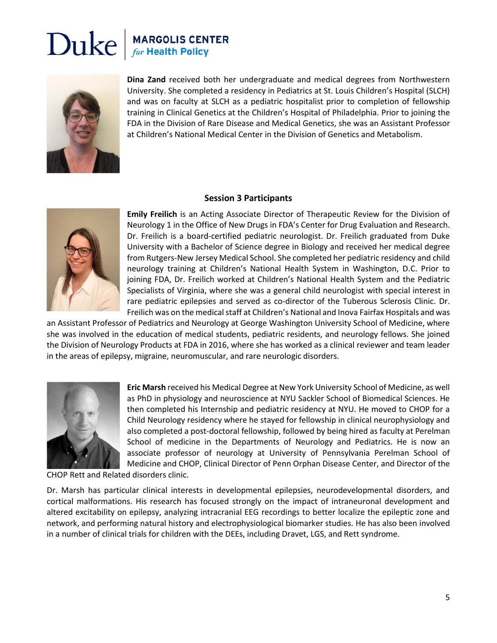

**Dina Zand** received both her undergraduate and medical degrees from Northwestern University. She completed a residency in Pediatrics at St. Louis Children's Hospital (SLCH) and was on faculty at SLCH as a pediatric hospitalist prior to completion of fellowship training in Clinical Genetics at the Children's Hospital of Philadelphia. Prior to joining the FDA in the Division of Rare Disease and Medical Genetics, she was an Assistant Professor at Children's National Medical Center in the Division of Genetics and Metabolism.

#### **Session 3 Participants**



**Emily Freilich** is an Acting Associate Director of Therapeutic Review for the Division of Neurology 1 in the Office of New Drugs in FDA's Center for Drug Evaluation and Research. Dr. Freilich is a board-certified pediatric neurologist. Dr. Freilich graduated from Duke University with a Bachelor of Science degree in Biology and received her medical degree from Rutgers-New Jersey Medical School. She completed her pediatric residency and child neurology training at Children's National Health System in Washington, D.C. Prior to joining FDA, Dr. Freilich worked at Children's National Health System and the Pediatric Specialists of Virginia, where she was a general child neurologist with special interest in rare pediatric epilepsies and served as co-director of the Tuberous Sclerosis Clinic. Dr. Freilich was on the medical staff at Children's National and Inova Fairfax Hospitals and was

an Assistant Professor of Pediatrics and Neurology at George Washington University School of Medicine, where she was involved in the education of medical students, pediatric residents, and neurology fellows. She joined the Division of Neurology Products at FDA in 2016, where she has worked as a clinical reviewer and team leader in the areas of epilepsy, migraine, neuromuscular, and rare neurologic disorders.



**Eric Marsh** received his Medical Degree at New York University School of Medicine, as well as PhD in physiology and neuroscience at NYU Sackler School of Biomedical Sciences. He then completed his Internship and pediatric residency at NYU. He moved to CHOP for a Child Neurology residency where he stayed for fellowship in clinical neurophysiology and also completed a post-doctoral fellowship, followed by being hired as faculty at Perelman School of medicine in the Departments of Neurology and Pediatrics. He is now an associate professor of neurology at University of Pennsylvania Perelman School of Medicine and CHOP, Clinical Director of Penn Orphan Disease Center, and Director of the

CHOP Rett and Related disorders clinic.

Dr. Marsh has particular clinical interests in developmental epilepsies, neurodevelopmental disorders, and cortical malformations. His research has focused strongly on the impact of intraneuronal development and altered excitability on epilepsy, analyzing intracranial EEG recordings to better localize the epileptic zone and network, and performing natural history and electrophysiological biomarker studies. He has also been involved in a number of clinical trials for children with the DEEs, including Dravet, LGS, and Rett syndrome.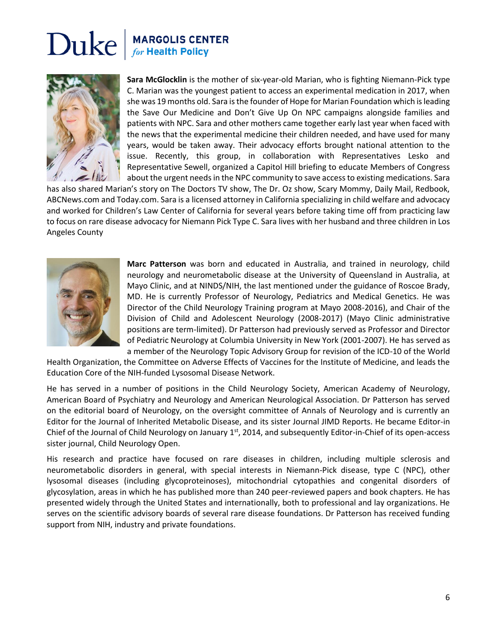

**Sara McGlocklin** is the mother of six-year-old Marian, who is fighting Niemann-Pick type C. Marian was the youngest patient to access an experimental medication in 2017, when she was 19 months old. Sara is the founder of Hope for Marian Foundation which is leading the Save Our Medicine and Don't Give Up On NPC campaigns alongside families and patients with NPC. Sara and other mothers came together early last year when faced with the news that the experimental medicine their children needed, and have used for many years, would be taken away. Their advocacy efforts brought national attention to the issue. Recently, this group, in collaboration with Representatives Lesko and Representative Sewell, organized a Capitol Hill briefing to educate Members of Congress about the urgent needs in the NPC community to save access to existing medications. Sara

has also shared Marian's story on The Doctors TV show, The Dr. Oz show, Scary Mommy, Daily Mail, Redbook, ABCNews.com and Today.com. Sara is a licensed attorney in California specializing in child welfare and advocacy and worked for Children's Law Center of California for several years before taking time off from practicing law to focus on rare disease advocacy for Niemann Pick Type C. Sara lives with her husband and three children in Los Angeles County



**Marc Patterson** was born and educated in Australia, and trained in neurology, child neurology and neurometabolic disease at the University of Queensland in Australia, at Mayo Clinic, and at NINDS/NIH, the last mentioned under the guidance of Roscoe Brady, MD. He is currently Professor of Neurology, Pediatrics and Medical Genetics. He was Director of the Child Neurology Training program at Mayo 2008-2016), and Chair of the Division of Child and Adolescent Neurology (2008-2017) (Mayo Clinic administrative positions are term-limited). Dr Patterson had previously served as Professor and Director of Pediatric Neurology at Columbia University in New York (2001-2007). He has served as a member of the Neurology Topic Advisory Group for revision of the ICD-10 of the World

Health Organization, the Committee on Adverse Effects of Vaccines for the Institute of Medicine, and leads the Education Core of the NIH-funded Lysosomal Disease Network.

He has served in a number of positions in the Child Neurology Society, American Academy of Neurology, American Board of Psychiatry and Neurology and American Neurological Association. Dr Patterson has served on the editorial board of Neurology, on the oversight committee of Annals of Neurology and is currently an Editor for the Journal of Inherited Metabolic Disease, and its sister Journal JIMD Reports. He became Editor-in Chief of the Journal of Child Neurology on January 1<sup>st</sup>, 2014, and subsequently Editor-in-Chief of its open-access sister journal, Child Neurology Open.

His research and practice have focused on rare diseases in children, including multiple sclerosis and neurometabolic disorders in general, with special interests in Niemann-Pick disease, type C (NPC), other lysosomal diseases (including glycoproteinoses), mitochondrial cytopathies and congenital disorders of glycosylation, areas in which he has published more than 240 peer-reviewed papers and book chapters. He has presented widely through the United States and internationally, both to professional and lay organizations. He serves on the scientific advisory boards of several rare disease foundations. Dr Patterson has received funding support from NIH, industry and private foundations.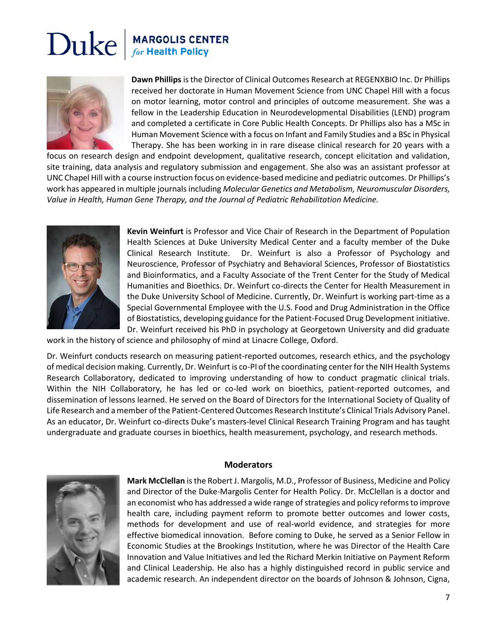

**Dawn Phillips** is the Director of Clinical Outcomes Research at REGENXBIO Inc. Dr Phillips received her doctorate in Human Movement Science from UNC Chapel Hill with a focus on motor learning, motor control and principles of outcome measurement. She was a fellow in the Leadership Education in Neurodevelopmental Disabilities (LEND) program and completed a certificate in Core Public Health Concepts. Dr Phillips also has a MSc in Human Movement Science with a focus on Infant and Family Studies and a BSc in Physical Therapy. She has been working in in rare disease clinical research for 20 years with a

focus on research design and endpoint development, qualitative research, concept elicitation and validation, site training, data analysis and regulatory submission and engagement. She also was an assistant professor at UNC Chapel Hill with a course instruction focus on evidence-based medicine and pediatric outcomes. Dr Phillips's work has appeared in multiple journals including *Molecular Genetics and Metabolism, Neuromuscular Disorders, Value in Health, Human Gene Therapy, and the Journal of Pediatric Rehabilitation Medicine.*



**Kevin Weinfurt** is Professor and Vice Chair of Research in the Department of Population Health Sciences at Duke University Medical Center and a faculty member of the Duke Clinical Research Institute. Dr. Weinfurt is also a Professor of Psychology and Neuroscience, Professor of Psychiatry and Behavioral Sciences, Professor of Biostatistics and Bioinformatics, and a Faculty Associate of the Trent Center for the Study of Medical Humanities and Bioethics. Dr. Weinfurt co-directs the Center for Health Measurement in the Duke University School of Medicine. Currently, Dr. Weinfurt is working part-time as a Special Governmental Employee with the U.S. Food and Drug Administration in the Office of Biostatistics, developing guidance for the Patient-Focused Drug Development initiative. Dr. Weinfurt received his PhD in psychology at Georgetown University and did graduate

work in the history of science and philosophy of mind at Linacre College, Oxford.

Dr. Weinfurt conducts research on measuring patient-reported outcomes, research ethics, and the psychology of medical decision making. Currently, Dr. Weinfurt is co-PI of the coordinating center for the NIH Health Systems Research Collaboratory, dedicated to improving understanding of how to conduct pragmatic clinical trials. Within the NIH Collaboratory, he has led or co-led work on bioethics, patient-reported outcomes, and dissemination of lessons learned. He served on the Board of Directors for the International Society of Quality of Life Research and a member of the Patient-Centered Outcomes Research Institute's Clinical Trials Advisory Panel. As an educator, Dr. Weinfurt co-directs Duke's masters-level Clinical Research Training Program and has taught undergraduate and graduate courses in bioethics, health measurement, psychology, and research methods.

#### **Moderators**



**Mark McClellan** is the Robert J. Margolis, M.D., Professor of Business, Medicine and Policy and Director of the Duke-Margolis Center for Health Policy. Dr. McClellan is a doctor and an economist who has addressed a wide range of strategies and policy reforms to improve health care, including payment reform to promote better outcomes and lower costs, methods for development and use of real-world evidence, and strategies for more effective biomedical innovation. Before coming to Duke, he served as a Senior Fellow in Economic Studies at the Brookings Institution, where he was Director of the Health Care Innovation and Value Initiatives and led the Richard Merkin Initiative on Payment Reform and Clinical Leadership. He also has a highly distinguished record in public service and academic research. An independent director on the boards of Johnson & Johnson, Cigna,